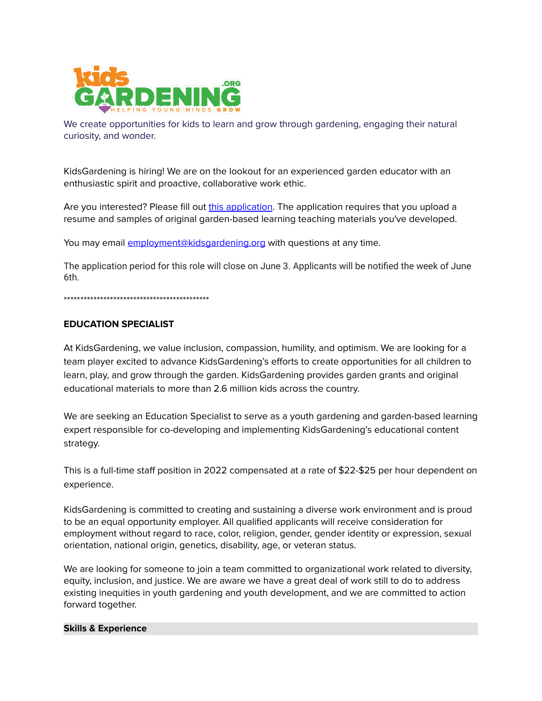

We create opportunities for kids to learn and grow through gardening, engaging their natural curiosity, and wonder.

KidsGardening is hiring! We are on the lookout for an experienced garden educator with an enthusiastic spirit and proactive, collaborative work ethic.

Are you interested? Please fill out this [application](https://docs.google.com/forms/d/e/1FAIpQLSfrPnvIUBrnZCK9fHN6imZkuQcWJUk2hvYxMPq21kwBoMlbrQ/viewform?usp=sf_link). The application requires that you upload a resume and samples of original garden-based learning teaching materials you've developed.

You may email [employment@kidsgardening.org](mailto:employment@kidsgardening.org) with questions at any time.

The application period for this role will close on June 3. Applicants will be notified the week of June 6th.

\*\*\*\*\*\*\*\*\*\*\*\*\*\*\*\*\*\*\*\*\*\*\*\*\*\*\*\*\*\*\*\*\*\*\*\*\*\*\*\*\*\*\*\*

## **EDUCATION SPECIALIST**

At KidsGardening, we value inclusion, compassion, humility, and optimism. We are looking for a team player excited to advance KidsGardening's efforts to create opportunities for all children to learn, play, and grow through the garden. KidsGardening provides garden grants and original educational materials to more than 2.6 million kids across the country.

We are seeking an Education Specialist to serve as a youth gardening and garden-based learning expert responsible for co-developing and implementing KidsGardening's educational content strategy.

This is a full-time staff position in 2022 compensated at a rate of \$22-\$25 per hour dependent on experience.

KidsGardening is committed to creating and sustaining a diverse work environment and is proud to be an equal opportunity employer. All qualified applicants will receive consideration for employment without regard to race, color, religion, gender, gender identity or expression, sexual orientation, national origin, genetics, disability, age, or veteran status.

We are looking for someone to join a team committed to organizational work related to diversity, equity, inclusion, and justice. We are aware we have a great deal of work still to do to address existing inequities in youth gardening and youth development, and we are committed to action forward together.

## **Skills & Experience**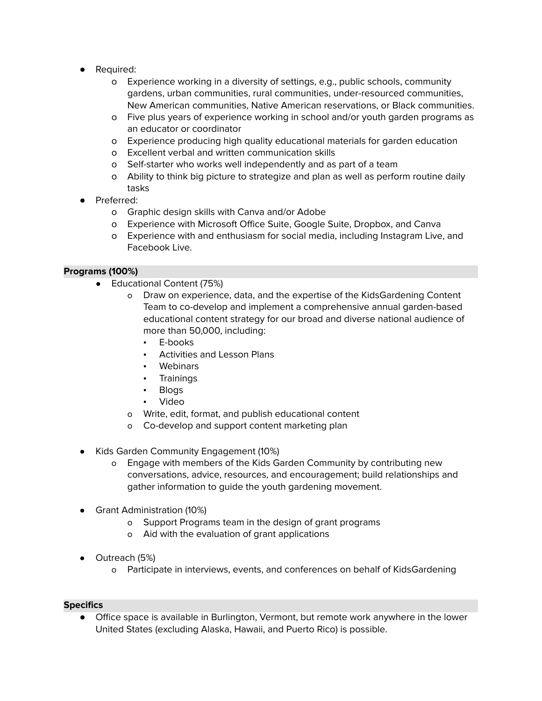- Required:
	- o Experience working in a diversity of settings, e.g., public schools, community gardens, urban communities, rural communities, under-resourced communities, New American communities, Native American reservations, or Black communities.
	- o Five plus years of experience working in school and/or youth garden programs as an educator or coordinator
	- o Experience producing high quality educational materials for garden education
	- o Excellent verbal and written communication skills
	- o Self-starter who works well independently and as part of a team
	- o Ability to think big picture to strategize and plan as well as perform routine daily tasks
- Preferred:
	- o Graphic design skills with Canva and/or Adobe
	- o Experience with Microsoft Office Suite, Google Suite, Dropbox, and Canva
	- o Experience with and enthusiasm for social media, including Instagram Live, and Facebook Live.

## **Programs (100%)**

- Educational Content (75%)
	- o Draw on experience, data, and the expertise of the KidsGardening Content Team to co-develop and implement a comprehensive annual garden-based educational content strategy for our broad and diverse national audience of more than 50,000, including:
		- E-books
		- **Activities and Lesson Plans**
		- Webinars
		- Trainings
		- Blogs
		- **Video**
	- o Write, edit, format, and publish educational content
	- o Co-develop and support content marketing plan
- Kids Garden Community Engagement (10%)
	- o Engage with members of the Kids Garden Community by contributing new conversations, advice, resources, and encouragement; build relationships and gather information to guide the youth gardening movement.
- Grant Administration (10%)
	- o Support Programs team in the design of grant programs
	- o Aid with the evaluation of grant applications
- Outreach (5%)
	- o Participate in interviews, events, and conferences on behalf of KidsGardening

## **Specifics**

● Office space is available in Burlington, Vermont, but remote work anywhere in the lower United States (excluding Alaska, Hawaii, and Puerto Rico) is possible.